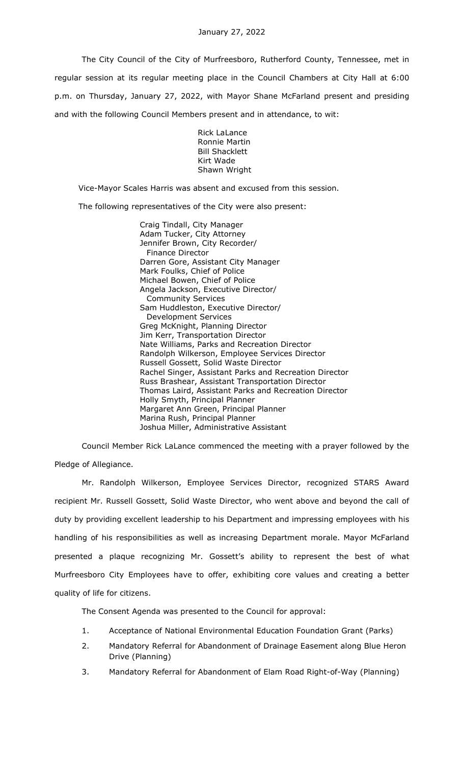The City Council of the City of Murfreesboro, Rutherford County, Tennessee, met in regular session at its regular meeting place in the Council Chambers at City Hall at 6:00 p.m. on Thursday, January 27, 2022, with Mayor Shane McFarland present and presiding and with the following Council Members present and in attendance, to wit:

> Rick LaLance Ronnie Martin Bill Shacklett Kirt Wade Shawn Wright

Vice-Mayor Scales Harris was absent and excused from this session.

The following representatives of the City were also present:

Craig Tindall, City Manager Adam Tucker, City Attorney Jennifer Brown, City Recorder/ Finance Director Darren Gore, Assistant City Manager Mark Foulks, Chief of Police Michael Bowen, Chief of Police Angela Jackson, Executive Director/ Community Services Sam Huddleston, Executive Director/ Development Services Greg McKnight, Planning Director Jim Kerr, Transportation Director Nate Williams, Parks and Recreation Director Randolph Wilkerson, Employee Services Director Russell Gossett, Solid Waste Director Rachel Singer, Assistant Parks and Recreation Director Russ Brashear, Assistant Transportation Director Thomas Laird, Assistant Parks and Recreation Director Holly Smyth, Principal Planner Margaret Ann Green, Principal Planner Marina Rush, Principal Planner Joshua Miller, Administrative Assistant

Council Member Rick LaLance commenced the meeting with a prayer followed by the Pledge of Allegiance.

Mr. Randolph Wilkerson, Employee Services Director, recognized STARS Award recipient Mr. Russell Gossett, Solid Waste Director, who went above and beyond the call of duty by providing excellent leadership to his Department and impressing employees with his handling of his responsibilities as well as increasing Department morale. Mayor McFarland presented a plaque recognizing Mr. Gossett's ability to represent the best of what Murfreesboro City Employees have to offer, exhibiting core values and creating a better quality of life for citizens.

The Consent Agenda was presented to the Council for approval:

- 1. Acceptance of National Environmental Education Foundation Grant (Parks)
- 2. Mandatory Referral for Abandonment of Drainage Easement along Blue Heron Drive (Planning)
- 3. Mandatory Referral for Abandonment of Elam Road Right-of-Way (Planning)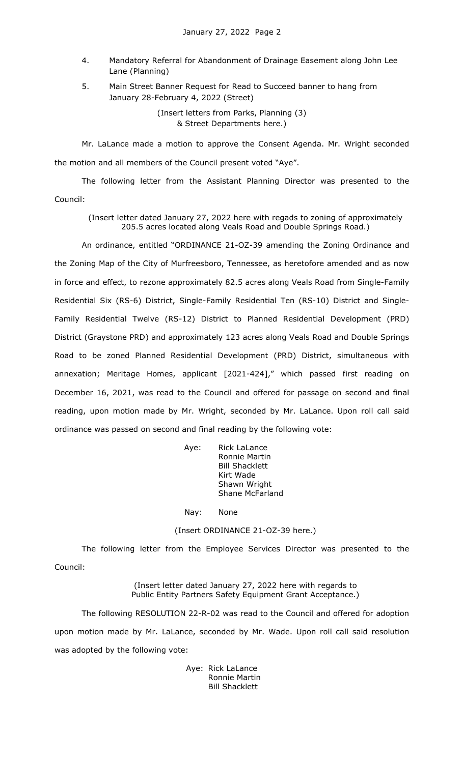- 4. Mandatory Referral for Abandonment of Drainage Easement along John Lee Lane (Planning)
- 5. Main Street Banner Request for Read to Succeed banner to hang from January 28-February 4, 2022 (Street)

(Insert letters from Parks, Planning (3) & Street Departments here.)

Mr. LaLance made a motion to approve the Consent Agenda. Mr. Wright seconded the motion and all members of the Council present voted "Aye".

The following letter from the Assistant Planning Director was presented to the Council:

(Insert letter dated January 27, 2022 here with regads to zoning of approximately 205.5 acres located along Veals Road and Double Springs Road.)

An ordinance, entitled "ORDINANCE 21-OZ-39 amending the Zoning Ordinance and the Zoning Map of the City of Murfreesboro, Tennessee, as heretofore amended and as now in force and effect, to rezone approximately 82.5 acres along Veals Road from Single-Family Residential Six (RS-6) District, Single-Family Residential Ten (RS-10) District and Single-Family Residential Twelve (RS-12) District to Planned Residential Development (PRD) District (Graystone PRD) and approximately 123 acres along Veals Road and Double Springs Road to be zoned Planned Residential Development (PRD) District, simultaneous with annexation; Meritage Homes, applicant [2021-424]," which passed first reading on December 16, 2021, was read to the Council and offered for passage on second and final reading, upon motion made by Mr. Wright, seconded by Mr. LaLance. Upon roll call said ordinance was passed on second and final reading by the following vote:

| Aye: | Rick LaLance           |
|------|------------------------|
|      | Ronnie Martin          |
|      | <b>Bill Shacklett</b>  |
|      | Kirt Wade              |
|      | Shawn Wright           |
|      | <b>Shane McFarland</b> |
|      |                        |

Nay: None

(Insert ORDINANCE 21-OZ-39 here.)

The following letter from the Employee Services Director was presented to the Council:

> (Insert letter dated January 27, 2022 here with regards to Public Entity Partners Safety Equipment Grant Acceptance.)

The following RESOLUTION 22-R-02 was read to the Council and offered for adoption upon motion made by Mr. LaLance, seconded by Mr. Wade. Upon roll call said resolution was adopted by the following vote:

> Aye: Rick LaLance Ronnie Martin Bill Shacklett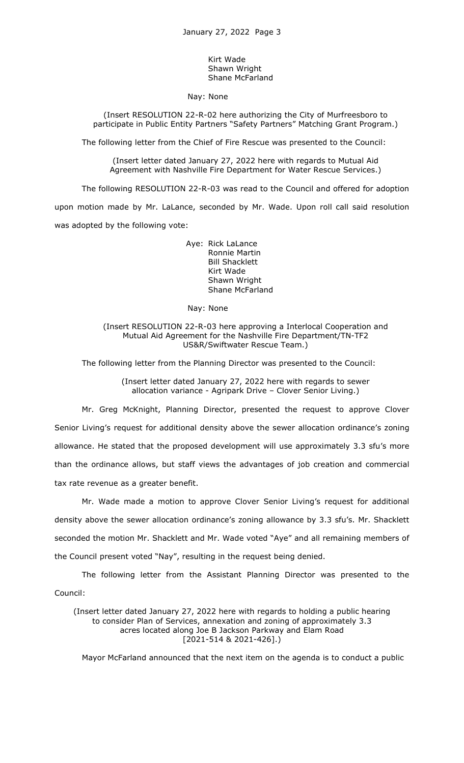Kirt Wade Shawn Wright Shane McFarland

Nay: None

(Insert RESOLUTION 22-R-02 here authorizing the City of Murfreesboro to participate in Public Entity Partners "Safety Partners" Matching Grant Program.)

The following letter from the Chief of Fire Rescue was presented to the Council:

(Insert letter dated January 27, 2022 here with regards to Mutual Aid Agreement with Nashville Fire Department for Water Rescue Services.)

The following RESOLUTION 22-R-03 was read to the Council and offered for adoption upon motion made by Mr. LaLance, seconded by Mr. Wade. Upon roll call said resolution was adopted by the following vote:

> Aye: Rick LaLance Ronnie Martin Bill Shacklett Kirt Wade Shawn Wright Shane McFarland

Nay: None

(Insert RESOLUTION 22-R-03 here approving a Interlocal Cooperation and Mutual Aid Agreement for the Nashville Fire Department/TN-TF2 US&R/Swiftwater Rescue Team.)

The following letter from the Planning Director was presented to the Council:

(Insert letter dated January 27, 2022 here with regards to sewer allocation variance - Agripark Drive – Clover Senior Living.)

Mr. Greg McKnight, Planning Director, presented the request to approve Clover Senior Living's request for additional density above the sewer allocation ordinance's zoning allowance. He stated that the proposed development will use approximately 3.3 sfu's more than the ordinance allows, but staff views the advantages of job creation and commercial tax rate revenue as a greater benefit.

Mr. Wade made a motion to approve Clover Senior Living's request for additional density above the sewer allocation ordinance's zoning allowance by 3.3 sfu's. Mr. Shacklett seconded the motion Mr. Shacklett and Mr. Wade voted "Aye" and all remaining members of the Council present voted "Nay", resulting in the request being denied.

The following letter from the Assistant Planning Director was presented to the Council:

(Insert letter dated January 27, 2022 here with regards to holding a public hearing to consider Plan of Services, annexation and zoning of approximately 3.3 acres located along Joe B Jackson Parkway and Elam Road [2021-514 & 2021-426].)

Mayor McFarland announced that the next item on the agenda is to conduct a public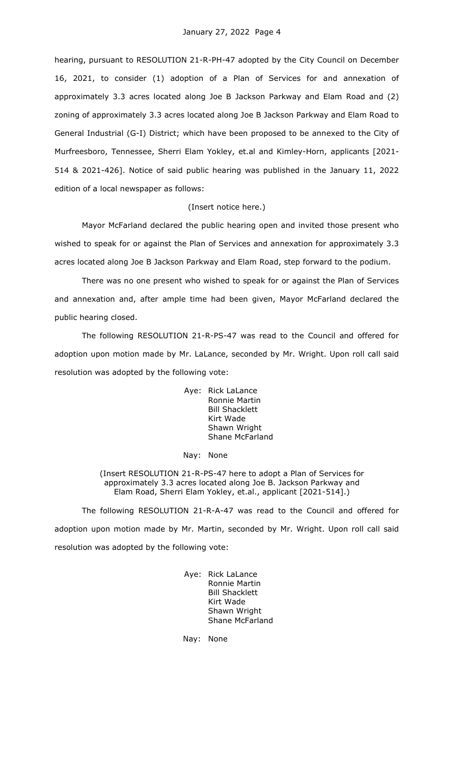hearing, pursuant to RESOLUTION 21-R-PH-47 adopted by the City Council on December 16, 2021, to consider (1) adoption of a Plan of Services for and annexation of approximately 3.3 acres located along Joe B Jackson Parkway and Elam Road and (2) zoning of approximately 3.3 acres located along Joe B Jackson Parkway and Elam Road to General Industrial (G-I) District; which have been proposed to be annexed to the City of Murfreesboro, Tennessee, Sherri Elam Yokley, et.al and Kimley-Horn, applicants [2021- 514 & 2021-426]. Notice of said public hearing was published in the January 11, 2022 edition of a local newspaper as follows:

# (Insert notice here.)

Mayor McFarland declared the public hearing open and invited those present who wished to speak for or against the Plan of Services and annexation for approximately 3.3 acres located along Joe B Jackson Parkway and Elam Road, step forward to the podium.

There was no one present who wished to speak for or against the Plan of Services and annexation and, after ample time had been given, Mayor McFarland declared the public hearing closed.

The following RESOLUTION 21-R-PS-47 was read to the Council and offered for adoption upon motion made by Mr. LaLance, seconded by Mr. Wright. Upon roll call said resolution was adopted by the following vote:

> Aye: Rick LaLance Ronnie Martin Bill Shacklett Kirt Wade Shawn Wright Shane McFarland

#### Nay: None

(Insert RESOLUTION 21-R-PS-47 here to adopt a Plan of Services for approximately 3.3 acres located along Joe B. Jackson Parkway and Elam Road, Sherri Elam Yokley, et.al., applicant [2021-514].)

The following RESOLUTION 21-R-A-47 was read to the Council and offered for adoption upon motion made by Mr. Martin, seconded by Mr. Wright. Upon roll call said resolution was adopted by the following vote:

> Aye: Rick LaLance Ronnie Martin Bill Shacklett Kirt Wade Shawn Wright Shane McFarland

Nay: None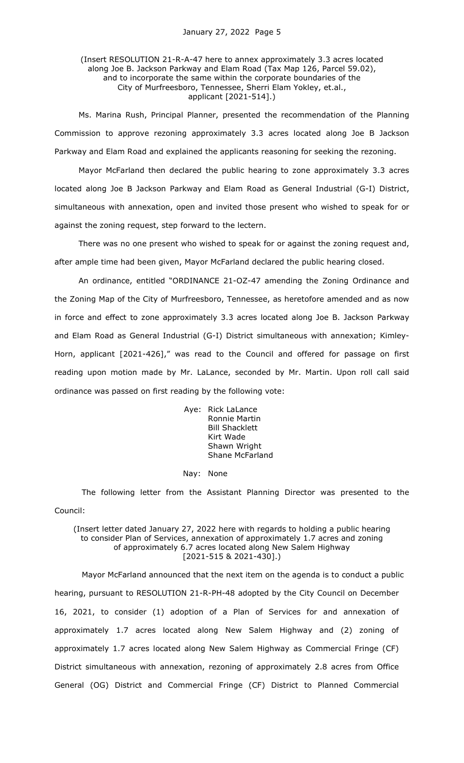# (Insert RESOLUTION 21-R-A-47 here to annex approximately 3.3 acres located along Joe B. Jackson Parkway and Elam Road (Tax Map 126, Parcel 59.02), and to incorporate the same within the corporate boundaries of the City of Murfreesboro, Tennessee, Sherri Elam Yokley, et.al., applicant [2021-514].)

Ms. Marina Rush, Principal Planner, presented the recommendation of the Planning Commission to approve rezoning approximately 3.3 acres located along Joe B Jackson Parkway and Elam Road and explained the applicants reasoning for seeking the rezoning.

Mayor McFarland then declared the public hearing to zone approximately 3.3 acres located along Joe B Jackson Parkway and Elam Road as General Industrial (G-I) District, simultaneous with annexation, open and invited those present who wished to speak for or against the zoning request, step forward to the lectern.

There was no one present who wished to speak for or against the zoning request and, after ample time had been given, Mayor McFarland declared the public hearing closed.

An ordinance, entitled "ORDINANCE 21-OZ-47 amending the Zoning Ordinance and the Zoning Map of the City of Murfreesboro, Tennessee, as heretofore amended and as now in force and effect to zone approximately 3.3 acres located along Joe B. Jackson Parkway and Elam Road as General Industrial (G-I) District simultaneous with annexation; Kimley-Horn, applicant [2021-426]," was read to the Council and offered for passage on first reading upon motion made by Mr. LaLance, seconded by Mr. Martin. Upon roll call said ordinance was passed on first reading by the following vote:

> Aye: Rick LaLance Ronnie Martin Bill Shacklett Kirt Wade Shawn Wright Shane McFarland

Nay: None

The following letter from the Assistant Planning Director was presented to the Council:

## (Insert letter dated January 27, 2022 here with regards to holding a public hearing to consider Plan of Services, annexation of approximately 1.7 acres and zoning of approximately 6.7 acres located along New Salem Highway [2021-515 & 2021-430].)

Mayor McFarland announced that the next item on the agenda is to conduct a public hearing, pursuant to RESOLUTION 21-R-PH-48 adopted by the City Council on December 16, 2021, to consider (1) adoption of a Plan of Services for and annexation of approximately 1.7 acres located along New Salem Highway and (2) zoning of approximately 1.7 acres located along New Salem Highway as Commercial Fringe (CF) District simultaneous with annexation, rezoning of approximately 2.8 acres from Office General (OG) District and Commercial Fringe (CF) District to Planned Commercial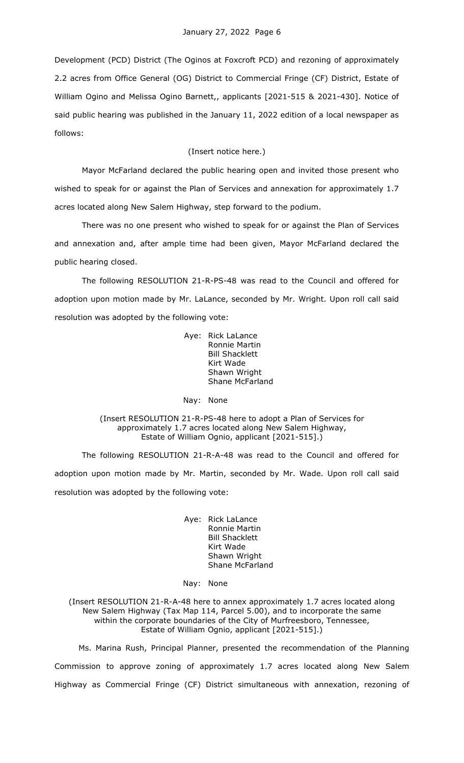Development (PCD) District (The Oginos at Foxcroft PCD) and rezoning of approximately 2.2 acres from Office General (OG) District to Commercial Fringe (CF) District, Estate of William Ogino and Melissa Ogino Barnett,, applicants [2021-515 & 2021-430]. Notice of said public hearing was published in the January 11, 2022 edition of a local newspaper as follows:

# (Insert notice here.)

Mayor McFarland declared the public hearing open and invited those present who wished to speak for or against the Plan of Services and annexation for approximately 1.7 acres located along New Salem Highway, step forward to the podium.

There was no one present who wished to speak for or against the Plan of Services and annexation and, after ample time had been given, Mayor McFarland declared the public hearing closed.

The following RESOLUTION 21-R-PS-48 was read to the Council and offered for adoption upon motion made by Mr. LaLance, seconded by Mr. Wright. Upon roll call said resolution was adopted by the following vote:

> Aye: Rick LaLance Ronnie Martin Bill Shacklett Kirt Wade Shawn Wright Shane McFarland

Nay: None

(Insert RESOLUTION 21-R-PS-48 here to adopt a Plan of Services for approximately 1.7 acres located along New Salem Highway, Estate of William Ognio, applicant [2021-515].)

The following RESOLUTION 21-R-A-48 was read to the Council and offered for adoption upon motion made by Mr. Martin, seconded by Mr. Wade. Upon roll call said resolution was adopted by the following vote:

> Aye: Rick LaLance Ronnie Martin Bill Shacklett Kirt Wade Shawn Wright Shane McFarland

#### Nay: None

(Insert RESOLUTION 21-R-A-48 here to annex approximately 1.7 acres located along New Salem Highway (Tax Map 114, Parcel 5.00), and to incorporate the same within the corporate boundaries of the City of Murfreesboro, Tennessee, Estate of William Ognio, applicant [2021-515].)

Ms. Marina Rush, Principal Planner, presented the recommendation of the Planning Commission to approve zoning of approximately 1.7 acres located along New Salem Highway as Commercial Fringe (CF) District simultaneous with annexation, rezoning of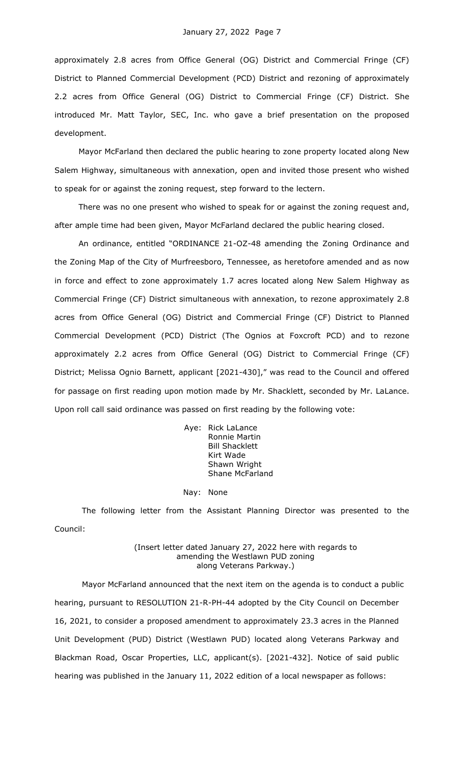approximately 2.8 acres from Office General (OG) District and Commercial Fringe (CF) District to Planned Commercial Development (PCD) District and rezoning of approximately 2.2 acres from Office General (OG) District to Commercial Fringe (CF) District. She introduced Mr. Matt Taylor, SEC, Inc. who gave a brief presentation on the proposed development.

Mayor McFarland then declared the public hearing to zone property located along New Salem Highway, simultaneous with annexation, open and invited those present who wished to speak for or against the zoning request, step forward to the lectern.

There was no one present who wished to speak for or against the zoning request and, after ample time had been given, Mayor McFarland declared the public hearing closed.

An ordinance, entitled "ORDINANCE 21-OZ-48 amending the Zoning Ordinance and the Zoning Map of the City of Murfreesboro, Tennessee, as heretofore amended and as now in force and effect to zone approximately 1.7 acres located along New Salem Highway as Commercial Fringe (CF) District simultaneous with annexation, to rezone approximately 2.8 acres from Office General (OG) District and Commercial Fringe (CF) District to Planned Commercial Development (PCD) District (The Ognios at Foxcroft PCD) and to rezone approximately 2.2 acres from Office General (OG) District to Commercial Fringe (CF) District; Melissa Ognio Barnett, applicant [2021-430]," was read to the Council and offered for passage on first reading upon motion made by Mr. Shacklett, seconded by Mr. LaLance. Upon roll call said ordinance was passed on first reading by the following vote:

> Aye: Rick LaLance Ronnie Martin Bill Shacklett Kirt Wade Shawn Wright Shane McFarland

#### Nay: None

The following letter from the Assistant Planning Director was presented to the Council:

#### (Insert letter dated January 27, 2022 here with regards to amending the Westlawn PUD zoning along Veterans Parkway.)

Mayor McFarland announced that the next item on the agenda is to conduct a public hearing, pursuant to RESOLUTION 21-R-PH-44 adopted by the City Council on December 16, 2021, to consider a proposed amendment to approximately 23.3 acres in the Planned Unit Development (PUD) District (Westlawn PUD) located along Veterans Parkway and Blackman Road, Oscar Properties, LLC, applicant(s). [2021-432]. Notice of said public hearing was published in the January 11, 2022 edition of a local newspaper as follows: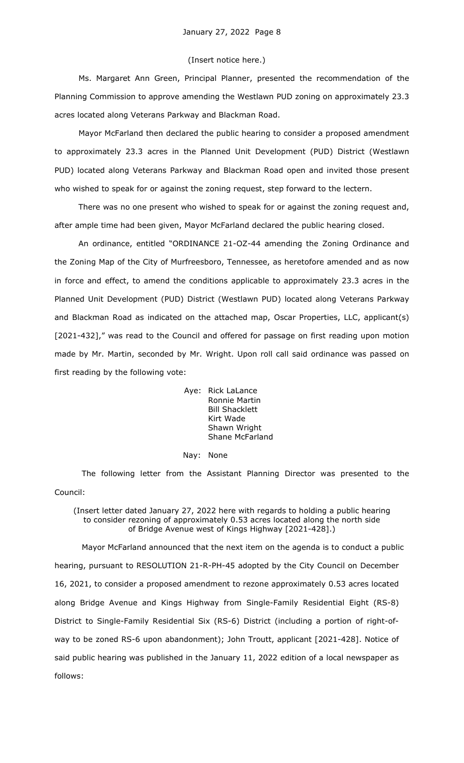## (Insert notice here.)

Ms. Margaret Ann Green, Principal Planner, presented the recommendation of the Planning Commission to approve amending the Westlawn PUD zoning on approximately 23.3 acres located along Veterans Parkway and Blackman Road.

Mayor McFarland then declared the public hearing to consider a proposed amendment to approximately 23.3 acres in the Planned Unit Development (PUD) District (Westlawn PUD) located along Veterans Parkway and Blackman Road open and invited those present who wished to speak for or against the zoning request, step forward to the lectern.

There was no one present who wished to speak for or against the zoning request and, after ample time had been given, Mayor McFarland declared the public hearing closed.

An ordinance, entitled "ORDINANCE 21-OZ-44 amending the Zoning Ordinance and the Zoning Map of the City of Murfreesboro, Tennessee, as heretofore amended and as now in force and effect, to amend the conditions applicable to approximately 23.3 acres in the Planned Unit Development (PUD) District (Westlawn PUD) located along Veterans Parkway and Blackman Road as indicated on the attached map, Oscar Properties, LLC, applicant(s) [2021-432]," was read to the Council and offered for passage on first reading upon motion made by Mr. Martin, seconded by Mr. Wright. Upon roll call said ordinance was passed on first reading by the following vote:

> Aye: Rick LaLance Ronnie Martin Bill Shacklett Kirt Wade Shawn Wright Shane McFarland

Nay: None

The following letter from the Assistant Planning Director was presented to the Council:

(Insert letter dated January 27, 2022 here with regards to holding a public hearing to consider rezoning of approximately 0.53 acres located along the north side of Bridge Avenue west of Kings Highway [2021-428].)

Mayor McFarland announced that the next item on the agenda is to conduct a public hearing, pursuant to RESOLUTION 21-R-PH-45 adopted by the City Council on December 16, 2021, to consider a proposed amendment to rezone approximately 0.53 acres located along Bridge Avenue and Kings Highway from Single-Family Residential Eight (RS-8) District to Single-Family Residential Six (RS-6) District (including a portion of right-ofway to be zoned RS-6 upon abandonment); John Troutt, applicant [2021-428]. Notice of said public hearing was published in the January 11, 2022 edition of a local newspaper as follows: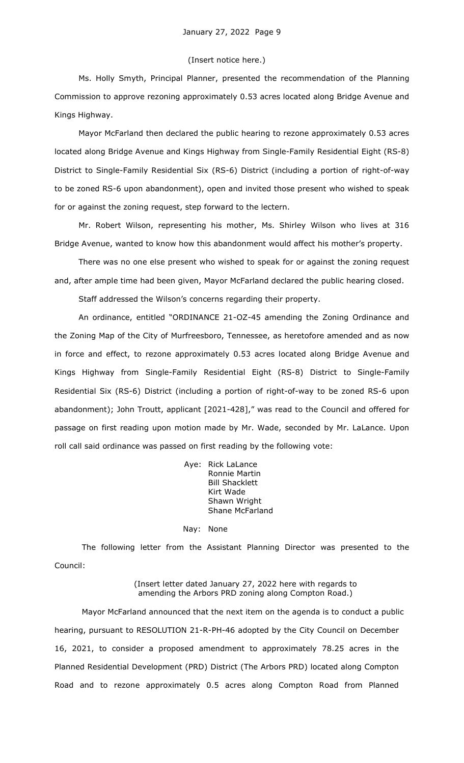### (Insert notice here.)

Ms. Holly Smyth, Principal Planner, presented the recommendation of the Planning Commission to approve rezoning approximately 0.53 acres located along Bridge Avenue and Kings Highway.

Mayor McFarland then declared the public hearing to rezone approximately 0.53 acres located along Bridge Avenue and Kings Highway from Single-Family Residential Eight (RS-8) District to Single-Family Residential Six (RS-6) District (including a portion of right-of-way to be zoned RS-6 upon abandonment), open and invited those present who wished to speak for or against the zoning request, step forward to the lectern.

Mr. Robert Wilson, representing his mother, Ms. Shirley Wilson who lives at 316 Bridge Avenue, wanted to know how this abandonment would affect his mother's property.

There was no one else present who wished to speak for or against the zoning request and, after ample time had been given, Mayor McFarland declared the public hearing closed.

Staff addressed the Wilson's concerns regarding their property.

An ordinance, entitled "ORDINANCE 21-OZ-45 amending the Zoning Ordinance and the Zoning Map of the City of Murfreesboro, Tennessee, as heretofore amended and as now in force and effect, to rezone approximately 0.53 acres located along Bridge Avenue and Kings Highway from Single-Family Residential Eight (RS-8) District to Single-Family Residential Six (RS-6) District (including a portion of right-of-way to be zoned RS-6 upon abandonment); John Troutt, applicant [2021-428]," was read to the Council and offered for passage on first reading upon motion made by Mr. Wade, seconded by Mr. LaLance. Upon roll call said ordinance was passed on first reading by the following vote:

> Aye: Rick LaLance Ronnie Martin Bill Shacklett Kirt Wade Shawn Wright Shane McFarland

#### Nay: None

The following letter from the Assistant Planning Director was presented to the Council:

> (Insert letter dated January 27, 2022 here with regards to amending the Arbors PRD zoning along Compton Road.)

Mayor McFarland announced that the next item on the agenda is to conduct a public hearing, pursuant to RESOLUTION 21-R-PH-46 adopted by the City Council on December 16, 2021, to consider a proposed amendment to approximately 78.25 acres in the Planned Residential Development (PRD) District (The Arbors PRD) located along Compton Road and to rezone approximately 0.5 acres along Compton Road from Planned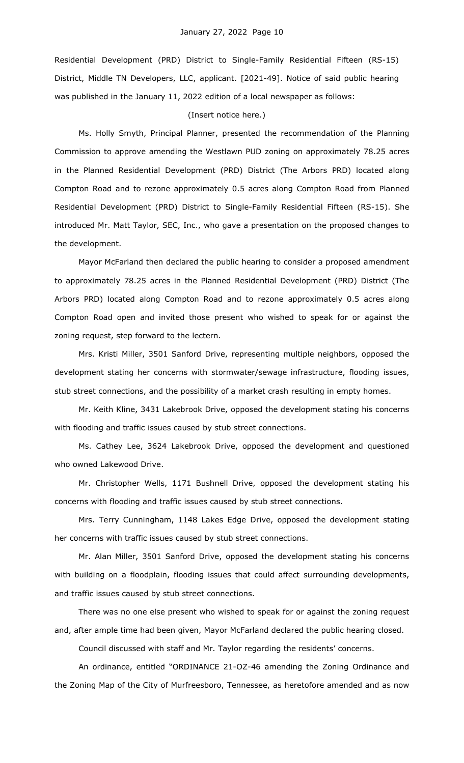Residential Development (PRD) District to Single-Family Residential Fifteen (RS-15) District, Middle TN Developers, LLC, applicant. [2021-49]. Notice of said public hearing was published in the January 11, 2022 edition of a local newspaper as follows:

### (Insert notice here.)

Ms. Holly Smyth, Principal Planner, presented the recommendation of the Planning Commission to approve amending the Westlawn PUD zoning on approximately 78.25 acres in the Planned Residential Development (PRD) District (The Arbors PRD) located along Compton Road and to rezone approximately 0.5 acres along Compton Road from Planned Residential Development (PRD) District to Single-Family Residential Fifteen (RS-15). She introduced Mr. Matt Taylor, SEC, Inc., who gave a presentation on the proposed changes to the development.

Mayor McFarland then declared the public hearing to consider a proposed amendment to approximately 78.25 acres in the Planned Residential Development (PRD) District (The Arbors PRD) located along Compton Road and to rezone approximately 0.5 acres along Compton Road open and invited those present who wished to speak for or against the zoning request, step forward to the lectern.

Mrs. Kristi Miller, 3501 Sanford Drive, representing multiple neighbors, opposed the development stating her concerns with stormwater/sewage infrastructure, flooding issues, stub street connections, and the possibility of a market crash resulting in empty homes.

Mr. Keith Kline, 3431 Lakebrook Drive, opposed the development stating his concerns with flooding and traffic issues caused by stub street connections.

Ms. Cathey Lee, 3624 Lakebrook Drive, opposed the development and questioned who owned Lakewood Drive.

Mr. Christopher Wells, 1171 Bushnell Drive, opposed the development stating his concerns with flooding and traffic issues caused by stub street connections.

Mrs. Terry Cunningham, 1148 Lakes Edge Drive, opposed the development stating her concerns with traffic issues caused by stub street connections.

Mr. Alan Miller, 3501 Sanford Drive, opposed the development stating his concerns with building on a floodplain, flooding issues that could affect surrounding developments, and traffic issues caused by stub street connections.

There was no one else present who wished to speak for or against the zoning request and, after ample time had been given, Mayor McFarland declared the public hearing closed.

Council discussed with staff and Mr. Taylor regarding the residents' concerns.

An ordinance, entitled "ORDINANCE 21-OZ-46 amending the Zoning Ordinance and the Zoning Map of the City of Murfreesboro, Tennessee, as heretofore amended and as now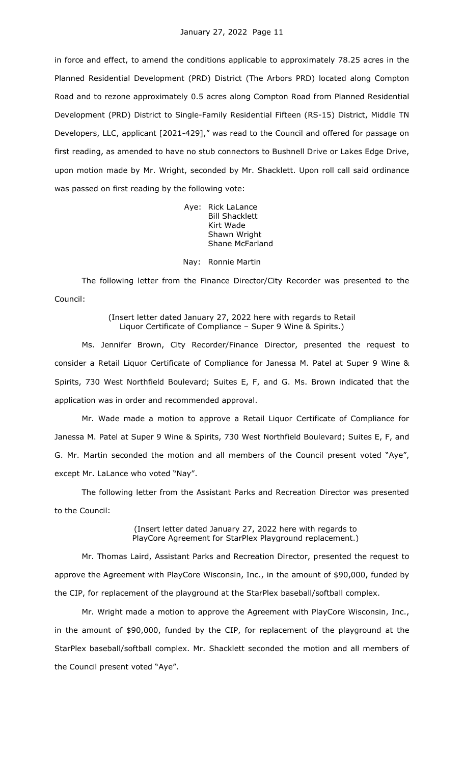in force and effect, to amend the conditions applicable to approximately 78.25 acres in the Planned Residential Development (PRD) District (The Arbors PRD) located along Compton Road and to rezone approximately 0.5 acres along Compton Road from Planned Residential Development (PRD) District to Single-Family Residential Fifteen (RS-15) District, Middle TN Developers, LLC, applicant [2021-429]," was read to the Council and offered for passage on first reading, as amended to have no stub connectors to Bushnell Drive or Lakes Edge Drive, upon motion made by Mr. Wright, seconded by Mr. Shacklett. Upon roll call said ordinance was passed on first reading by the following vote:

> Aye: Rick LaLance Bill Shacklett Kirt Wade Shawn Wright Shane McFarland

### Nay: Ronnie Martin

The following letter from the Finance Director/City Recorder was presented to the Council:

> (Insert letter dated January 27, 2022 here with regards to Retail Liquor Certificate of Compliance – Super 9 Wine & Spirits.)

Ms. Jennifer Brown, City Recorder/Finance Director, presented the request to consider a Retail Liquor Certificate of Compliance for Janessa M. Patel at Super 9 Wine & Spirits, 730 West Northfield Boulevard; Suites E, F, and G. Ms. Brown indicated that the application was in order and recommended approval.

Mr. Wade made a motion to approve a Retail Liquor Certificate of Compliance for Janessa M. Patel at Super 9 Wine & Spirits, 730 West Northfield Boulevard; Suites E, F, and G. Mr. Martin seconded the motion and all members of the Council present voted "Aye", except Mr. LaLance who voted "Nay".

The following letter from the Assistant Parks and Recreation Director was presented to the Council:

> (Insert letter dated January 27, 2022 here with regards to PlayCore Agreement for StarPlex Playground replacement.)

Mr. Thomas Laird, Assistant Parks and Recreation Director, presented the request to approve the Agreement with PlayCore Wisconsin, Inc., in the amount of \$90,000, funded by the CIP, for replacement of the playground at the StarPlex baseball/softball complex.

Mr. Wright made a motion to approve the Agreement with PlayCore Wisconsin, Inc., in the amount of \$90,000, funded by the CIP, for replacement of the playground at the StarPlex baseball/softball complex. Mr. Shacklett seconded the motion and all members of the Council present voted "Aye".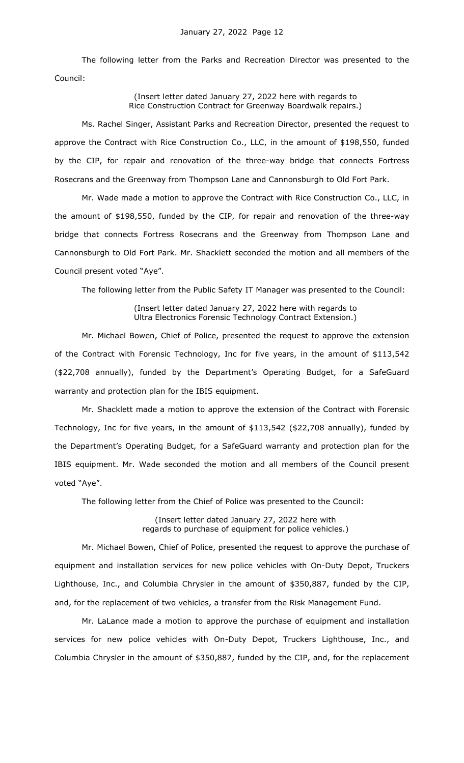The following letter from the Parks and Recreation Director was presented to the Council:

## (Insert letter dated January 27, 2022 here with regards to Rice Construction Contract for Greenway Boardwalk repairs.)

Ms. Rachel Singer, Assistant Parks and Recreation Director, presented the request to approve the Contract with Rice Construction Co., LLC, in the amount of \$198,550, funded by the CIP, for repair and renovation of the three-way bridge that connects Fortress Rosecrans and the Greenway from Thompson Lane and Cannonsburgh to Old Fort Park.

Mr. Wade made a motion to approve the Contract with Rice Construction Co., LLC, in the amount of \$198,550, funded by the CIP, for repair and renovation of the three-way bridge that connects Fortress Rosecrans and the Greenway from Thompson Lane and Cannonsburgh to Old Fort Park. Mr. Shacklett seconded the motion and all members of the Council present voted "Aye".

The following letter from the Public Safety IT Manager was presented to the Council:

(Insert letter dated January 27, 2022 here with regards to Ultra Electronics Forensic Technology Contract Extension.)

Mr. Michael Bowen, Chief of Police, presented the request to approve the extension of the Contract with Forensic Technology, Inc for five years, in the amount of \$113,542 (\$22,708 annually), funded by the Department's Operating Budget, for a SafeGuard warranty and protection plan for the IBIS equipment.

Mr. Shacklett made a motion to approve the extension of the Contract with Forensic Technology, Inc for five years, in the amount of \$113,542 (\$22,708 annually), funded by the Department's Operating Budget, for a SafeGuard warranty and protection plan for the IBIS equipment. Mr. Wade seconded the motion and all members of the Council present voted "Aye".

The following letter from the Chief of Police was presented to the Council:

(Insert letter dated January 27, 2022 here with regards to purchase of equipment for police vehicles.)

Mr. Michael Bowen, Chief of Police, presented the request to approve the purchase of equipment and installation services for new police vehicles with On-Duty Depot, Truckers Lighthouse, Inc., and Columbia Chrysler in the amount of \$350,887, funded by the CIP, and, for the replacement of two vehicles, a transfer from the Risk Management Fund.

Mr. LaLance made a motion to approve the purchase of equipment and installation services for new police vehicles with On-Duty Depot, Truckers Lighthouse, Inc., and Columbia Chrysler in the amount of \$350,887, funded by the CIP, and, for the replacement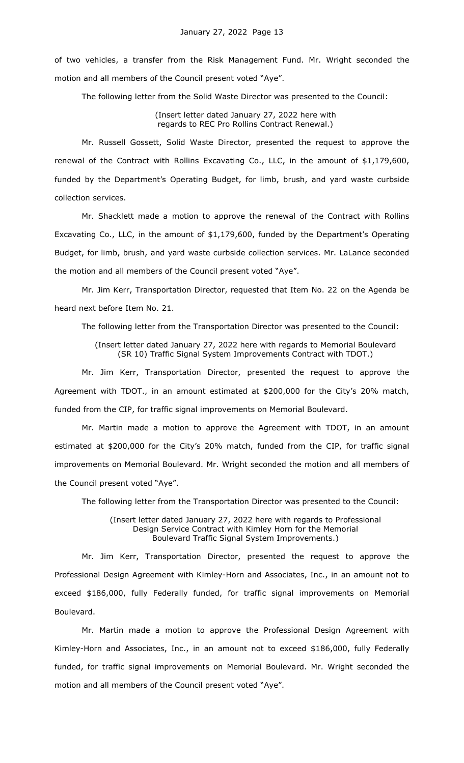of two vehicles, a transfer from the Risk Management Fund. Mr. Wright seconded the motion and all members of the Council present voted "Aye".

The following letter from the Solid Waste Director was presented to the Council:

# (Insert letter dated January 27, 2022 here with regards to REC Pro Rollins Contract Renewal.)

Mr. Russell Gossett, Solid Waste Director, presented the request to approve the renewal of the Contract with Rollins Excavating Co., LLC, in the amount of \$1,179,600, funded by the Department's Operating Budget, for limb, brush, and yard waste curbside collection services.

Mr. Shacklett made a motion to approve the renewal of the Contract with Rollins Excavating Co., LLC, in the amount of \$1,179,600, funded by the Department's Operating Budget, for limb, brush, and yard waste curbside collection services. Mr. LaLance seconded the motion and all members of the Council present voted "Aye".

Mr. Jim Kerr, Transportation Director, requested that Item No. 22 on the Agenda be heard next before Item No. 21.

The following letter from the Transportation Director was presented to the Council:

(Insert letter dated January 27, 2022 here with regards to Memorial Boulevard (SR 10) Traffic Signal System Improvements Contract with TDOT.)

Mr. Jim Kerr, Transportation Director, presented the request to approve the Agreement with TDOT., in an amount estimated at \$200,000 for the City's 20% match, funded from the CIP, for traffic signal improvements on Memorial Boulevard.

Mr. Martin made a motion to approve the Agreement with TDOT, in an amount estimated at \$200,000 for the City's 20% match, funded from the CIP, for traffic signal improvements on Memorial Boulevard. Mr. Wright seconded the motion and all members of the Council present voted "Aye".

The following letter from the Transportation Director was presented to the Council:

(Insert letter dated January 27, 2022 here with regards to Professional Design Service Contract with Kimley Horn for the Memorial Boulevard Traffic Signal System Improvements.)

Mr. Jim Kerr, Transportation Director, presented the request to approve the Professional Design Agreement with Kimley-Horn and Associates, Inc., in an amount not to exceed \$186,000, fully Federally funded, for traffic signal improvements on Memorial Boulevard.

Mr. Martin made a motion to approve the Professional Design Agreement with Kimley-Horn and Associates, Inc., in an amount not to exceed \$186,000, fully Federally funded, for traffic signal improvements on Memorial Boulevard. Mr. Wright seconded the motion and all members of the Council present voted "Aye".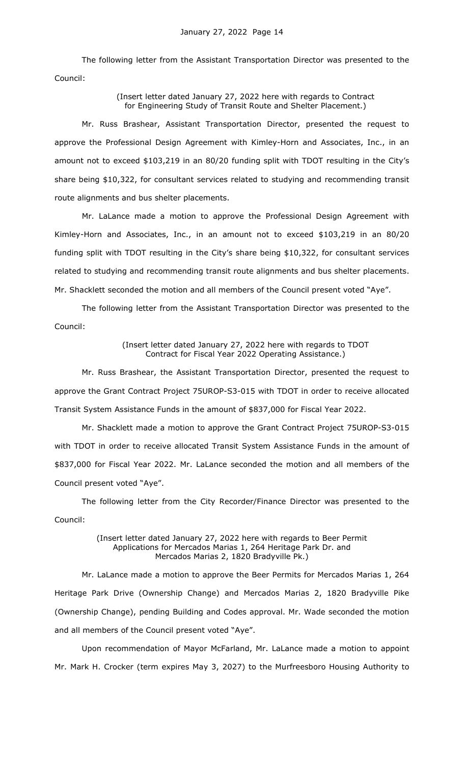The following letter from the Assistant Transportation Director was presented to the Council:

> (Insert letter dated January 27, 2022 here with regards to Contract for Engineering Study of Transit Route and Shelter Placement.)

Mr. Russ Brashear, Assistant Transportation Director, presented the request to approve the Professional Design Agreement with Kimley-Horn and Associates, Inc., in an amount not to exceed \$103,219 in an 80/20 funding split with TDOT resulting in the City's share being \$10,322, for consultant services related to studying and recommending transit route alignments and bus shelter placements.

Mr. LaLance made a motion to approve the Professional Design Agreement with Kimley-Horn and Associates, Inc., in an amount not to exceed \$103,219 in an 80/20 funding split with TDOT resulting in the City's share being \$10,322, for consultant services related to studying and recommending transit route alignments and bus shelter placements. Mr. Shacklett seconded the motion and all members of the Council present voted "Aye".

The following letter from the Assistant Transportation Director was presented to the Council:

> (Insert letter dated January 27, 2022 here with regards to TDOT Contract for Fiscal Year 2022 Operating Assistance.)

Mr. Russ Brashear, the Assistant Transportation Director, presented the request to approve the Grant Contract Project 75UROP-S3-015 with TDOT in order to receive allocated Transit System Assistance Funds in the amount of \$837,000 for Fiscal Year 2022.

Mr. Shacklett made a motion to approve the Grant Contract Project 75UROP-S3-015 with TDOT in order to receive allocated Transit System Assistance Funds in the amount of \$837,000 for Fiscal Year 2022. Mr. LaLance seconded the motion and all members of the Council present voted "Aye".

The following letter from the City Recorder/Finance Director was presented to the Council:

> (Insert letter dated January 27, 2022 here with regards to Beer Permit Applications for Mercados Marias 1, 264 Heritage Park Dr. and Mercados Marias 2, 1820 Bradyville Pk.)

Mr. LaLance made a motion to approve the Beer Permits for Mercados Marias 1, 264 Heritage Park Drive (Ownership Change) and Mercados Marias 2, 1820 Bradyville Pike (Ownership Change), pending Building and Codes approval. Mr. Wade seconded the motion and all members of the Council present voted "Aye".

Upon recommendation of Mayor McFarland, Mr. LaLance made a motion to appoint Mr. Mark H. Crocker (term expires May 3, 2027) to the Murfreesboro Housing Authority to